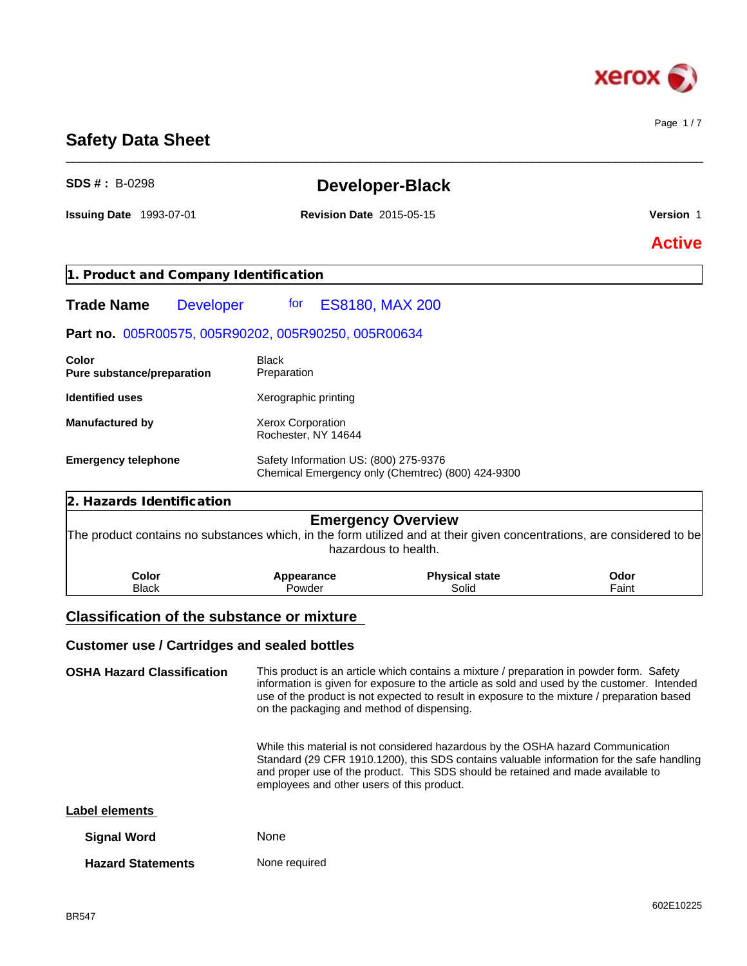

Page 1 / 7

# **Safety Data Sheet** \_\_\_\_\_\_\_\_\_\_\_\_\_\_\_\_\_\_\_\_\_\_\_\_\_\_\_\_\_\_\_\_\_\_\_\_\_\_\_\_\_\_\_\_\_\_\_\_\_\_\_\_\_\_\_\_\_\_\_\_\_\_\_\_\_\_\_\_\_\_\_\_\_\_\_\_\_\_\_\_\_\_\_\_\_\_\_\_\_\_\_\_\_\_ **SDS # :** B-0298 **Developer-Black Issuing Date** 1993-07-01 **Revision Date** 2015-05-15 **Version** 1

# **Active**

**1. Product and Company Identification**

Trade Name Developer for ES8180, MAX 200

### **Part no.** 005R00575, 005R90202, 005R90250, 005R00634

| Color<br><b>Pure substance/preparation</b> | Black<br>Preparation                                                                       |
|--------------------------------------------|--------------------------------------------------------------------------------------------|
| <b>Identified uses</b>                     | Xerographic printing                                                                       |
| <b>Manufactured by</b>                     | <b>Xerox Corporation</b><br>Rochester, NY 14644                                            |
| <b>Emergency telephone</b>                 | Safety Information US: (800) 275-9376<br>Chemical Emergency only (Chemtrec) (800) 424-9300 |

| 2. Hazards Identification |                      |                                                                                                                                                                             |               |  |
|---------------------------|----------------------|-----------------------------------------------------------------------------------------------------------------------------------------------------------------------------|---------------|--|
|                           |                      | <b>Emergency Overview</b><br>The product contains no substances which, in the form utilized and at their given concentrations, are considered to be<br>hazardous to health. |               |  |
| Color<br><b>Black</b>     | Appearance<br>Powder | <b>Physical state</b><br>Solid                                                                                                                                              | Odor<br>Faint |  |

## **Classification of the substance or mixture**

#### **Customer use / Cartridges and sealed bottles**

**OSHA Hazard Classification** This product is an article which contains a mixture / preparation in powder form. Safety information is given for exposure to the article as sold and used by the customer. Intended use of the product is not expected to result in exposure to the mixture / preparation based on the packaging and method of dispensing.

> While this material is not considered hazardous by the OSHA hazard Communication Standard (29 CFR 1910.1200), this SDS contains valuable information for the safe handling and proper use of the product. This SDS should be retained and made available to employees and other users of this product.

#### **Label elements**

| <b>Signal Word</b>       | <b>None</b>   |
|--------------------------|---------------|
| <b>Hazard Statements</b> | None required |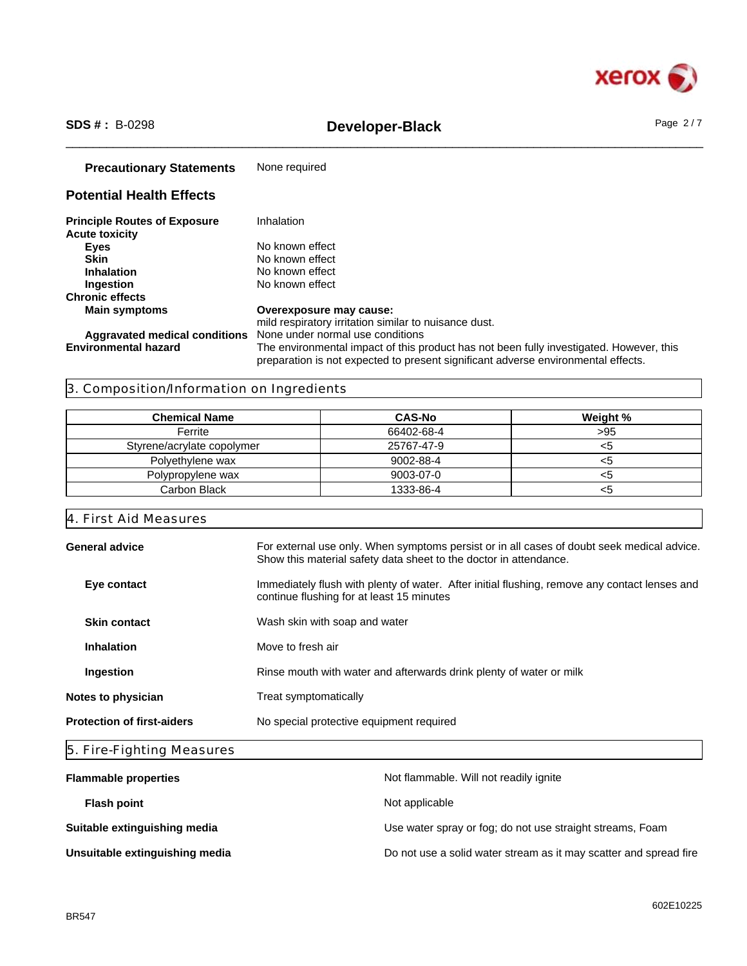

# \_\_\_\_\_\_\_\_\_\_\_\_\_\_\_\_\_\_\_\_\_\_\_\_\_\_\_\_\_\_\_\_\_\_\_\_\_\_\_\_\_\_\_\_\_\_\_\_\_\_\_\_\_\_\_\_\_\_\_\_\_\_\_\_\_\_\_\_\_\_\_\_\_\_\_\_\_\_\_\_\_\_\_\_\_\_\_\_\_\_\_\_\_\_ **SDS # :** B-0298 **Developer-Black** Page 2 / 7

| <b>Precautionary Statements</b>                              | None required                                                                                                                                                                                                    |
|--------------------------------------------------------------|------------------------------------------------------------------------------------------------------------------------------------------------------------------------------------------------------------------|
| <b>Potential Health Effects</b>                              |                                                                                                                                                                                                                  |
| <b>Principle Routes of Exposure</b><br><b>Acute toxicity</b> | Inhalation                                                                                                                                                                                                       |
| <b>Eyes</b>                                                  | No known effect                                                                                                                                                                                                  |
| <b>Skin</b>                                                  | No known effect                                                                                                                                                                                                  |
| <b>Inhalation</b>                                            | No known effect                                                                                                                                                                                                  |
| Ingestion                                                    | No known effect                                                                                                                                                                                                  |
| <b>Chronic effects</b>                                       |                                                                                                                                                                                                                  |
| <b>Main symptoms</b>                                         | Overexposure may cause:<br>mild respiratory irritation similar to nuisance dust.                                                                                                                                 |
| Aggravated medical conditions<br><b>Environmental hazard</b> | None under normal use conditions<br>The environmental impact of this product has not been fully investigated. However, this<br>preparation is not expected to present significant adverse environmental effects. |

### 3. Composition/Information on Ingredients

| <b>Chemical Name</b>       | <b>CAS-No</b> | Weight % |
|----------------------------|---------------|----------|
| Ferrite                    | 66402-68-4    | >95      |
| Styrene/acrylate copolymer | 25767-47-9    | <ວ       |
| Polyethylene wax           | 9002-88-4     | <ວ       |
| Polypropylene wax          | 9003-07-0     | <ວ       |
| Carbon Black               | 1333-86-4     | <ວ       |

4. First Aid Measures

| General advice                    | For external use only. When symptoms persist or in all cases of doubt seek medical advice.<br>Show this material safety data sheet to the doctor in attendance. |
|-----------------------------------|-----------------------------------------------------------------------------------------------------------------------------------------------------------------|
| Eye contact                       | Immediately flush with plenty of water. After initial flushing, remove any contact lenses and<br>continue flushing for at least 15 minutes                      |
| <b>Skin contact</b>               | Wash skin with soap and water                                                                                                                                   |
| <b>Inhalation</b>                 | Move to fresh air                                                                                                                                               |
| Ingestion                         | Rinse mouth with water and afterwards drink plenty of water or milk                                                                                             |
| Notes to physician                | Treat symptomatically                                                                                                                                           |
| <b>Protection of first-aiders</b> | No special protective equipment required                                                                                                                        |
|                                   |                                                                                                                                                                 |

|  | 5. Fire-Fighting Measures |  |
|--|---------------------------|--|
|  |                           |  |

| <b>Flammable properties</b>    | Not flammable. Will not readily ignite                            |
|--------------------------------|-------------------------------------------------------------------|
| <b>Flash point</b>             | Not applicable                                                    |
| Suitable extinguishing media   | Use water spray or fog; do not use straight streams, Foam         |
| Unsuitable extinguishing media | Do not use a solid water stream as it may scatter and spread fire |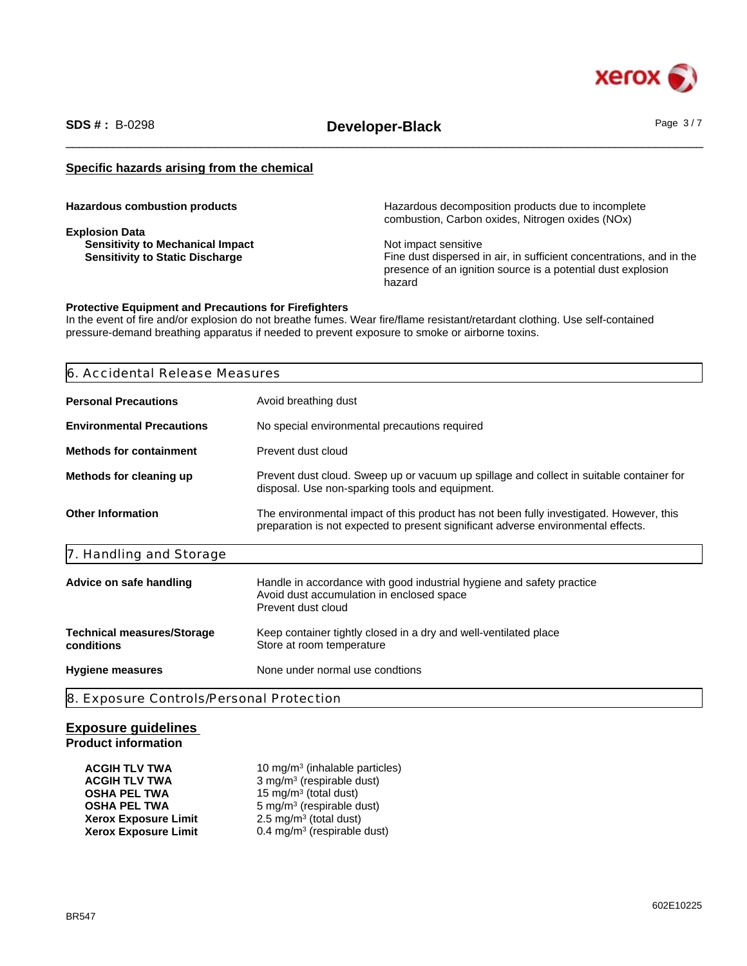

\_\_\_\_\_\_\_\_\_\_\_\_\_\_\_\_\_\_\_\_\_\_\_\_\_\_\_\_\_\_\_\_\_\_\_\_\_\_\_\_\_\_\_\_\_\_\_\_\_\_\_\_\_\_\_\_\_\_\_\_\_\_\_\_\_\_\_\_\_\_\_\_\_\_\_\_\_\_\_\_\_\_\_\_\_\_\_\_\_\_\_\_\_\_ **SDS # :** B-0298 **Developer-Black** Page 3 / 7

#### **Specific hazards arising from the chemical**

**Explosion Data Sensitivity to Mechanical Impact**<br> **Sensitivity to Static Discharge**<br> **Sensitivity to Static Discharge**<br> **Sensitivity to Static Discharge** 

**Hazardous combustion products Hazardous decomposition products due to incomplete** combustion, Carbon oxides, Nitrogen oxides (NOx)

> Fine dust dispersed in air, in sufficient concentrations, and in the presence of an ignition source is a potential dust explosion hazard

#### **Protective Equipment and Precautions for Firefighters**

In the event of fire and/or explosion do not breathe fumes. Wear fire/flame resistant/retardant clothing. Use self-contained pressure-demand breathing apparatus if needed to prevent exposure to smoke or airborne toxins.

### 6. Accidental Release Measures

| <b>Personal Precautions</b>                     | Avoid breathing dust                                                                                                                                                         |
|-------------------------------------------------|------------------------------------------------------------------------------------------------------------------------------------------------------------------------------|
| <b>Environmental Precautions</b>                | No special environmental precautions required                                                                                                                                |
| <b>Methods for containment</b>                  | Prevent dust cloud                                                                                                                                                           |
| Methods for cleaning up                         | Prevent dust cloud. Sweep up or vacuum up spillage and collect in suitable container for<br>disposal. Use non-sparking tools and equipment.                                  |
| <b>Other Information</b>                        | The environmental impact of this product has not been fully investigated. However, this<br>preparation is not expected to present significant adverse environmental effects. |
| 7. Handling and Storage                         |                                                                                                                                                                              |
| Advice on safe handling                         | Handle in accordance with good industrial hygiene and safety practice<br>Avoid dust accumulation in enclosed space<br>Prevent dust cloud                                     |
| <b>Technical measures/Storage</b><br>conditions | Keep container tightly closed in a dry and well-ventilated place<br>Store at room temperature                                                                                |
| <b>Hygiene measures</b>                         | None under normal use condtions                                                                                                                                              |

## **Exposure guidelines**

#### **Product information**

| <b>ACGIH TLV TWA</b>        | 10 mg/m <sup>3</sup> (inhalable particles) |
|-----------------------------|--------------------------------------------|
| <b>ACGIH TLV TWA</b>        | 3 mg/m <sup>3</sup> (respirable dust)      |
| <b>OSHA PEL TWA</b>         | 15 mg/m <sup>3</sup> (total dust)          |
| <b>OSHA PEL TWA</b>         | $5 \text{ mg/m}^3$ (respirable dust)       |
| <b>Xerox Exposure Limit</b> | 2.5 mg/m <sup>3</sup> (total dust)         |
| <b>Xerox Exposure Limit</b> | 0.4 mg/m <sup>3</sup> (respirable dust)    |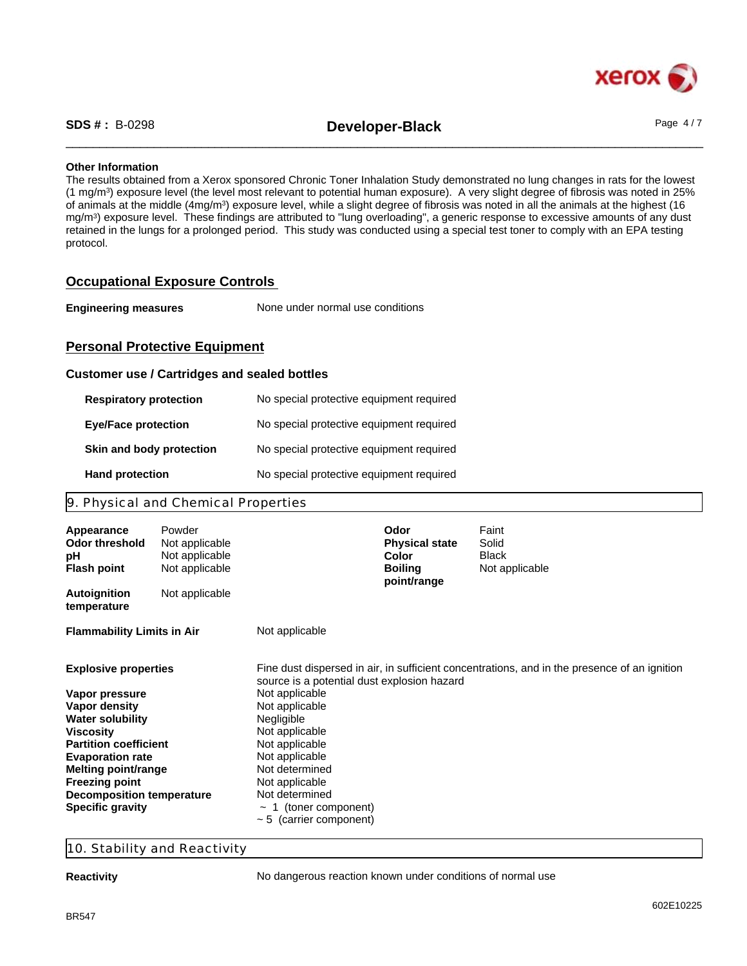

\_\_\_\_\_\_\_\_\_\_\_\_\_\_\_\_\_\_\_\_\_\_\_\_\_\_\_\_\_\_\_\_\_\_\_\_\_\_\_\_\_\_\_\_\_\_\_\_\_\_\_\_\_\_\_\_\_\_\_\_\_\_\_\_\_\_\_\_\_\_\_\_\_\_\_\_\_\_\_\_\_\_\_\_\_\_\_\_\_\_\_\_\_\_ **SDS # :** B-0298 **Developer-Black** Page 4 / 7

#### **Other Information**

The results obtained from a Xerox sponsored Chronic Toner Inhalation Study demonstrated no lung changes in rats for the lowest (1 mg/m<sup>3</sup> ) exposure level (the level most relevant to potential human exposure). A very slight degree of fibrosis was noted in 25% of animals at the middle (4mg/m<sup>3</sup>) exposure level, while a slight degree of fibrosis was noted in all the animals at the highest (16 mg/m<sup>3</sup> ) exposure level. These findings are attributed to "lung overloading", a generic response to excessive amounts of any dust retained in the lungs for a prolonged period. This study was conducted using a special test toner to comply with an EPA testing protocol.

#### **Occupational Exposure Controls**

| <b>Engineering measures</b> | None under normal use conditions |  |
|-----------------------------|----------------------------------|--|
|-----------------------------|----------------------------------|--|

#### **Personal Protective Equipment**

#### **Customer use / Cartridges and sealed bottles**

| <b>Respiratory protection</b> | No special protective equipment required |
|-------------------------------|------------------------------------------|
| <b>Eye/Face protection</b>    | No special protective equipment required |
| Skin and body protection      | No special protective equipment required |
| <b>Hand protection</b>        | No special protective equipment required |

#### 9. Physical and Chemical Properties

| Appearance<br><b>Odor threshold</b><br>pH<br><b>Flash point</b> | Powder<br>Not applicable<br>Not applicable<br>Not applicable |                                                               | Odor<br><b>Physical state</b><br>Color<br><b>Boiling</b><br>point/range | Faint<br>Solid<br><b>Black</b><br>Not applicable                                             |  |
|-----------------------------------------------------------------|--------------------------------------------------------------|---------------------------------------------------------------|-------------------------------------------------------------------------|----------------------------------------------------------------------------------------------|--|
| <b>Autoignition</b><br>temperature                              | Not applicable                                               |                                                               |                                                                         |                                                                                              |  |
| <b>Flammability Limits in Air</b>                               |                                                              | Not applicable                                                |                                                                         |                                                                                              |  |
| <b>Explosive properties</b><br>Vapor pressure                   |                                                              | source is a potential dust explosion hazard<br>Not applicable |                                                                         | Fine dust dispersed in air, in sufficient concentrations, and in the presence of an ignition |  |
| Vapor density<br><b>Water solubility</b>                        |                                                              | Not applicable<br>Negligible                                  |                                                                         |                                                                                              |  |
| <b>Viscosity</b>                                                |                                                              | Not applicable                                                |                                                                         |                                                                                              |  |
| <b>Partition coefficient</b><br><b>Evaporation rate</b>         |                                                              | Not applicable<br>Not applicable                              |                                                                         |                                                                                              |  |
| <b>Melting point/range</b>                                      |                                                              | Not determined                                                |                                                                         |                                                                                              |  |
| <b>Freezing point</b>                                           |                                                              | Not applicable                                                |                                                                         |                                                                                              |  |
| <b>Decomposition temperature</b>                                |                                                              | Not determined                                                |                                                                         |                                                                                              |  |
| <b>Specific gravity</b>                                         |                                                              | 1 (toner component)                                           |                                                                         |                                                                                              |  |
|                                                                 |                                                              | $\sim$ 5 (carrier component)                                  |                                                                         |                                                                                              |  |

#### 10. Stability and Reactivity

**Reactivity Reactivity No dangerous reaction known under conditions of normal use**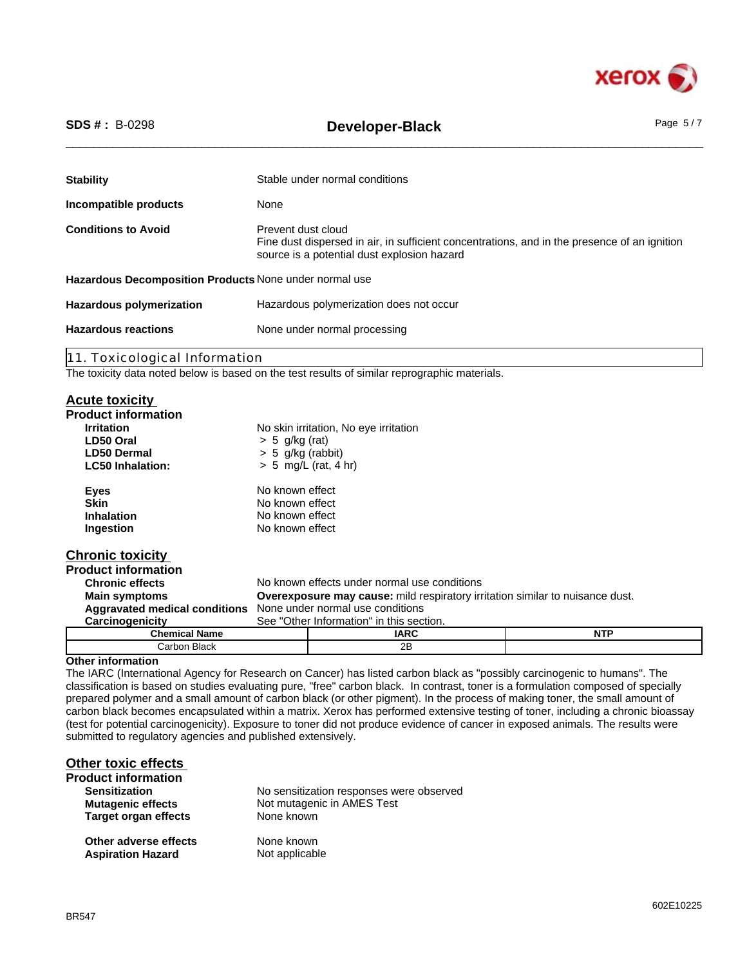

| <b>SDS #: B-0298</b>                                   | <b>Developer-Black</b>                                                                                                                                            | Page $5/7$ |
|--------------------------------------------------------|-------------------------------------------------------------------------------------------------------------------------------------------------------------------|------------|
| <b>Stability</b>                                       | Stable under normal conditions                                                                                                                                    |            |
| Incompatible products                                  | None                                                                                                                                                              |            |
| <b>Conditions to Avoid</b>                             | Prevent dust cloud<br>Fine dust dispersed in air, in sufficient concentrations, and in the presence of an ignition<br>source is a potential dust explosion hazard |            |
| Hazardous Decomposition Products None under normal use |                                                                                                                                                                   |            |
| <b>Hazardous polymerization</b>                        | Hazardous polymerization does not occur                                                                                                                           |            |
| <b>Hazardous reactions</b>                             | None under normal processing                                                                                                                                      |            |

11. Toxicological Information

The toxicity data noted below is based on the test results of similar reprographic materials.

#### **Acute toxicity**

| <b>AVULG LUAIVILY</b>                |                                  |                                                                                      |            |
|--------------------------------------|----------------------------------|--------------------------------------------------------------------------------------|------------|
| <b>Product information</b>           |                                  |                                                                                      |            |
| <b>Irritation</b>                    |                                  | No skin irritation, No eye irritation                                                |            |
| LD50 Oral                            | $> 5$ g/kg (rat)                 |                                                                                      |            |
| <b>LD50 Dermal</b>                   | $> 5$ g/kg (rabbit)              |                                                                                      |            |
| <b>LC50 Inhalation:</b>              |                                  | $> 5$ mg/L (rat, 4 hr)                                                               |            |
| <b>Eyes</b>                          | No known effect                  |                                                                                      |            |
| <b>Skin</b>                          | No known effect                  |                                                                                      |            |
| <b>Inhalation</b>                    | No known effect                  |                                                                                      |            |
| Ingestion                            | No known effect                  |                                                                                      |            |
| <b>Chronic toxicity</b>              |                                  |                                                                                      |            |
| <b>Product information</b>           |                                  |                                                                                      |            |
| <b>Chronic effects</b>               |                                  | No known effects under normal use conditions                                         |            |
| <b>Main symptoms</b>                 |                                  | <b>Overexposure may cause:</b> mild respiratory irritation similar to nuisance dust. |            |
| <b>Aggravated medical conditions</b> | None under normal use conditions |                                                                                      |            |
| Carcinogenicity                      |                                  | See "Other Information" in this section.                                             |            |
| <b>Chemical Name</b>                 |                                  | <b>IARC</b>                                                                          | <b>NTP</b> |
| Carbon Black                         |                                  | 2B                                                                                   |            |

#### **Other information**

The IARC (International Agency for Research on Cancer) has listed carbon black as "possibly carcinogenic to humans". The classification is based on studies evaluating pure, "free" carbon black. In contrast, toner is a formulation composed of specially prepared polymer and a small amount of carbon black (or other pigment). In the process of making toner, the small amount of carbon black becomes encapsulated within a matrix. Xerox has performed extensive testing of toner, including a chronic bioassay (test for potential carcinogenicity). Exposure to toner did not produce evidence of cancer in exposed animals. The results were submitted to regulatory agencies and published extensively.

| <b>Other toxic effects</b>  |                                          |
|-----------------------------|------------------------------------------|
| <b>Product information</b>  |                                          |
| <b>Sensitization</b>        | No sensitization responses were observed |
| <b>Mutagenic effects</b>    | Not mutagenic in AMES Test               |
| <b>Target organ effects</b> | None known                               |
| Other adverse effects       | None known                               |
| <b>Aspiration Hazard</b>    | Not applicable                           |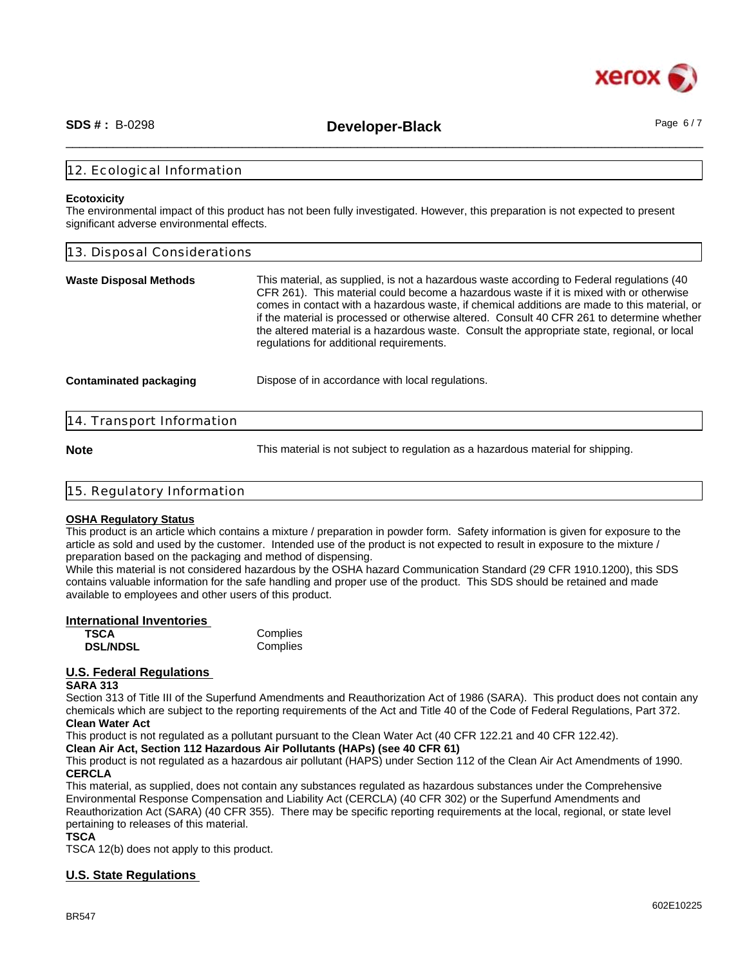

\_\_\_\_\_\_\_\_\_\_\_\_\_\_\_\_\_\_\_\_\_\_\_\_\_\_\_\_\_\_\_\_\_\_\_\_\_\_\_\_\_\_\_\_\_\_\_\_\_\_\_\_\_\_\_\_\_\_\_\_\_\_\_\_\_\_\_\_\_\_\_\_\_\_\_\_\_\_\_\_\_\_\_\_\_\_\_\_\_\_\_\_\_\_ **SDS # :** B-0298 **Developer-Black** Page 6 / 7

#### 12. Ecological Information

#### **Ecotoxicity**

The environmental impact of this product has not been fully investigated. However, this preparation is not expected to present significant adverse environmental effects.

| 13. Disposal Considerations   |                                                                                                                                                                                                                                                                                                                                                                                                                                                                                                                                |  |
|-------------------------------|--------------------------------------------------------------------------------------------------------------------------------------------------------------------------------------------------------------------------------------------------------------------------------------------------------------------------------------------------------------------------------------------------------------------------------------------------------------------------------------------------------------------------------|--|
| <b>Waste Disposal Methods</b> | This material, as supplied, is not a hazardous waste according to Federal regulations (40<br>CFR 261). This material could become a hazardous waste if it is mixed with or otherwise<br>comes in contact with a hazardous waste, if chemical additions are made to this material, or<br>if the material is processed or otherwise altered. Consult 40 CFR 261 to determine whether<br>the altered material is a hazardous waste. Consult the appropriate state, regional, or local<br>regulations for additional requirements. |  |
| <b>Contaminated packaging</b> | Dispose of in accordance with local regulations.                                                                                                                                                                                                                                                                                                                                                                                                                                                                               |  |
| 14. Transport Information     |                                                                                                                                                                                                                                                                                                                                                                                                                                                                                                                                |  |

**Note** This material is not subject to regulation as a hazardous material for shipping.

| 15. Regulatory Information |  |
|----------------------------|--|
|                            |  |

#### **OSHA Regulatory Status**

This product is an article which contains a mixture / preparation in powder form. Safety information is given for exposure to the article as sold and used by the customer. Intended use of the product is not expected to result in exposure to the mixture / preparation based on the packaging and method of dispensing.

While this material is not considered hazardous by the OSHA hazard Communication Standard (29 CFR 1910.1200), this SDS contains valuable information for the safe handling and proper use of the product. This SDS should be retained and made available to employees and other users of this product.

| International Inventories |          |  |
|---------------------------|----------|--|
| <b>TSCA</b>               | Complies |  |
| <b>DSL/NDSL</b>           | Complies |  |

#### **U.S. Federal Regulations**

#### **SARA 313**

Section 313 of Title III of the Superfund Amendments and Reauthorization Act of 1986 (SARA). This product does not contain any chemicals which are subject to the reporting requirements of the Act and Title 40 of the Code of Federal Regulations, Part 372. **Clean Water Act**

This product is not regulated as a pollutant pursuant to the Clean Water Act (40 CFR 122.21 and 40 CFR 122.42).

**Clean Air Act, Section 112 Hazardous Air Pollutants (HAPs) (see 40 CFR 61)**

This product is not regulated as a hazardous air pollutant (HAPS) under Section 112 of the Clean Air Act Amendments of 1990. **CERCLA**

This material, as supplied, does not contain any substances regulated as hazardous substances under the Comprehensive Environmental Response Compensation and Liability Act (CERCLA) (40 CFR 302) or the Superfund Amendments and Reauthorization Act (SARA) (40 CFR 355). There may be specific reporting requirements at the local, regional, or state level pertaining to releases of this material.

**TSCA**

TSCA 12(b) does not apply to this product.

#### **U.S. State Regulations**